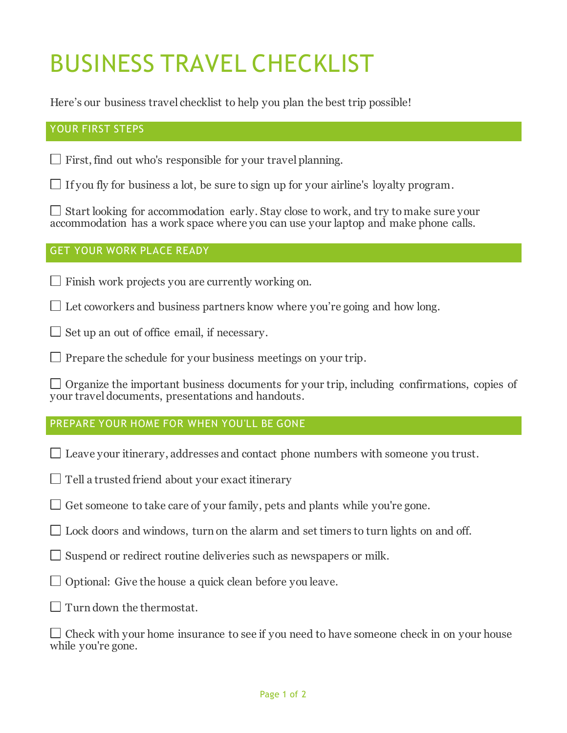# BUSINESS TRAVEL CHECKLIST

Here's our business travel checklist to help you plan the best trip possible!

# YOUR FIRST STEPS

 $\Box$  First, find out who's responsible for your travel planning.

If you fly for business a lot, be sure to sign up for your airline's loyalty program.

 $\Box$  Start looking for accommodation early. Stay close to work, and try to make sure your accommodation has a work space where you can use your laptop and make phone calls.

### GET YOUR WORK PLACE READY

 $\Box$  Finish work projects you are currently working on.

 $\Box$  Let coworkers and business partners know where you're going and how long.

 $\Box$  Set up an out of office email, if necessary.

 $\Box$  Prepare the schedule for your business meetings on your trip.

 $\Box$  Organize the important business documents for your trip, including confirmations, copies of your travel documents, presentations and handouts.

# PREPARE YOUR HOME FOR WHEN YOU'LL BE GONE

- $\Box$  Leave your itinerary, addresses and contact phone numbers with someone you trust.
- $\Box$  Tell a trusted friend about your exact itinerary
- $\Box$  Get someone to take care of your family, pets and plants while you're gone.
- $\Box$  Lock doors and windows, turn on the alarm and set timers to turn lights on and off.
- $\Box$  Suspend or redirect routine deliveries such as newspapers or milk.
- $\Box$  Optional: Give the house a quick clean before you leave.
- $\Box$  Turn down the thermostat.

 $\Box$  Check with your home insurance to see if you need to have someone check in on your house while you're gone.